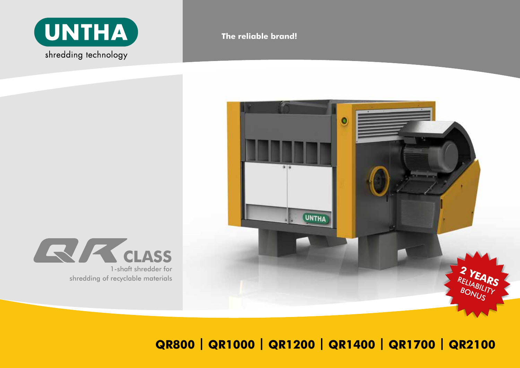

**The reliable brand!**





**QR800 | QR1000 | QR1200 | QR1400 | QR1700 | QR2100**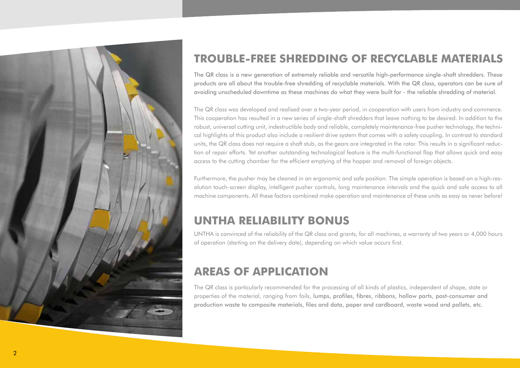

# **TROUBLE-FREE SHREDDING OF RECYCLABLE MATERIALS**

The QR class is a new generation of extremely reliable and versatile high-performance single-shaft shredders. These products are all about the trouble-free shredding of recyclable materials. With the QR class, operators can be sure of avoiding unscheduled downtime as these machines do what they were built for - the reliable shredding of material.

The QR class was developed and realised over a two-year period, in cooperation with users from industry and commerce. This cooperation has resulted in a new series of single-shaft shredders that leave nothing to be desired. In addition to the robust, universal cutting unit, indestructible body and reliable, completely maintenance-free pusher technology, the technical highlights of this product also include a resilient drive system that comes with a safety coupling. In contrast to standard units, the QR class does not require a shaft stub, as the gears are integrated in the rotor. This results in a significant reduction of repair efforts. Yet another outstanding technological feature is the multi-functional flap that allows quick and easy access to the cutting chamber for the efficient emptying of the hopper and removal of foreign objects.

Furthermore, the pusher may be cleaned in an ergonomic and safe position. The simple operation is based on a high-resolution touch-screen display, intelligent pusher controls, long maintenance intervals and the quick and safe access to all machine components. All these factors combined make operation and maintenance of these units as easy as never before!

# **UNTHA RELIABILITY BONUS**

UNTHA is convinced of the reliability of the QR class and grants, for all machines, a warranty of two years or 4,000 hours of operation (starting on the delivery date), depending on which value occurs first.

# **AREAS OF APPLICATION**

The QR class is particularly recommended for the processing of all kinds of plastics, independent of shape, state or properties of the material, ranging from foils, lumps, profiles, fibres, ribbons, hollow parts, post-consumer and production waste to composite materials, files and data, paper and cardboard, waste wood and pallets, etc.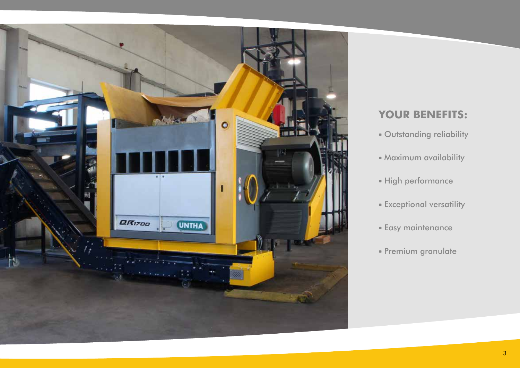

## **YOUR BENEFITS:**

- Outstanding reliability
- Maximum availability
- High performance
- Exceptional versatility
- Easy maintenance
- Premium granulate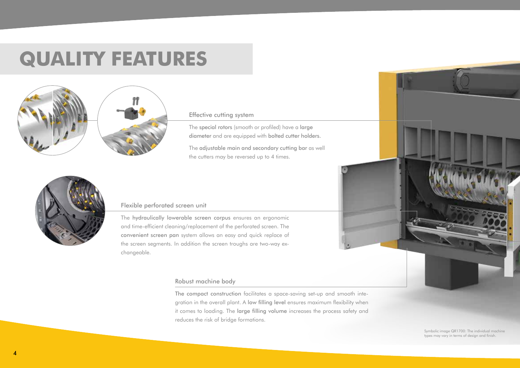# **QUALITY FEATURES**



#### Effective cutting system

The special rotors (smooth or profiled) have a large diameter and are equipped with bolted cutter holders.

The adjustable main and secondary cutting bar as well the cutters may be reversed up to 4 times.



#### Flexible perforated screen unit

The hydraulically lowerable screen corpus ensures an ergonomic and time-efficient cleaning/replacement of the perforated screen. The convenient screen pan system allows an easy and quick replace of the screen segments. In addition the screen troughs are two-way exchangeable.

#### Robust machine body

The compact construction facilitates a space-saving set-up and smooth integration in the overall plant. A low filling level ensures maximum flexibility when it comes to loading. The large filling volume increases the process safety and reduces the risk of bridge formations.



Symbolic image QR1700: The individual machine types may vary in terms of design and finish.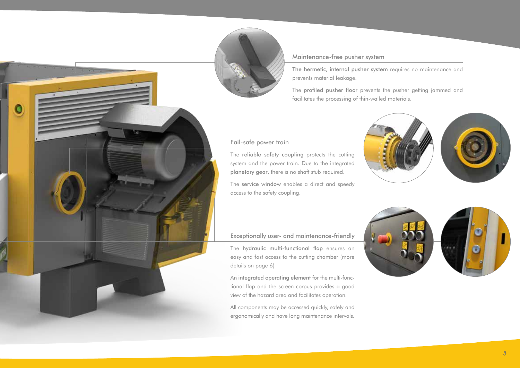

#### Maintenance-free pusher system

The hermetic, internal pusher system requires no maintenance and prevents material leakage.

The profiled pusher floor prevents the pusher getting jammed and facilitates the processing of thin-walled materials.

#### Fail-safe power train

The reliable safety coupling protects the cutting system and the power train. Due to the integrated planetary gear, there is no shaft stub required.

The service window enables a direct and speedy access to the safety coupling.



#### Exceptionally user- and maintenance-friendly

The hydraulic multi-functional flap ensures an easy and fast access to the cutting chamber (more details on page 6)

An integrated operating element for the multi-functional flap and the screen corpus provides a good view of the hazard area and facilitates operation.

All components may be accessed quickly, safely and ergonomically and have long maintenance intervals.

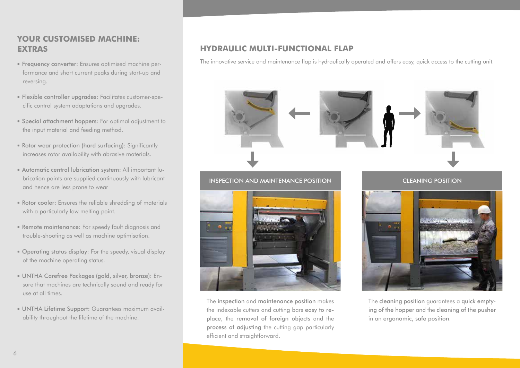## **YOUR CUSTOMISED MACHINE: EXTRAS**

- Frequency converter: Ensures optimised machine performance and short current peaks during start-up and reversing.
- Flexible controller upgrades: Facilitates customer-specific control system adaptations and upgrades.
- Special attachment hoppers: For optimal adjustment to the input material and feeding method.
- Rotor wear protection (hard surfacing): Significantly increases rotor availability with abrasive materials.
- Automatic central lubrication system: All important lubrication points are supplied continuously with lubricant and hence are less prone to wear
- Rotor cooler: Ensures the reliable shredding of materials with a particularly low melting point.
- Remote maintenance: For speedy fault diagnosis and trouble-shooting as well as machine optimisation.
- Operating status display: For the speedy, visual display of the machine operating status.
- UNTHA Carefree Packages (gold, silver, bronze): Ensure that machines are technically sound and ready for use at all times.
- UNTHA Lifetime Support: Guarantees maximum availability throughout the lifetime of the machine.

## **HYDRAULIC MULTI-FUNCTIONAL FLAP**

The innovative service and maintenance flap is hydraulically operated and offers easy, quick access to the cutting unit.



the indexable cutters and cutting bars easy to replace, the removal of foreign objects and the process of adjusting the cutting gap particularly efficient and straightforward.

ing of the hopper and the cleaning of the pusher in an ergonomic, safe position.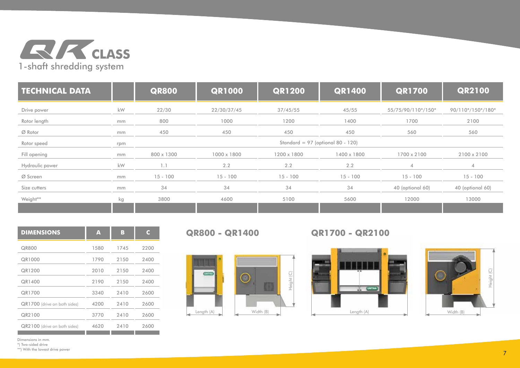

| <b>TECHNICAL DATA</b> |     | <b>QR800</b>                        | <b>QR1000</b> | <b>QR1200</b> | <b>QR1400</b> | <b>QR1700</b>      | <b>QR2100</b>     |
|-----------------------|-----|-------------------------------------|---------------|---------------|---------------|--------------------|-------------------|
| Drive power           | kW  | 22/30                               | 22/30/37/45   | 37/45/55      | 45/55         | 55/75/90/110*/150* | 90/110*/150*/180* |
| Rotor length          | mm  | 800                                 | 1000          | 1200          | 1400          | 1700               | 2100              |
| Ø Rotor               | mm  | 450                                 | 450           | 450           | 450           | 560                | 560               |
| Rotor speed           | rpm | Standard = $97$ (optional 80 - 120) |               |               |               |                    |                   |
| Fill opening          | mm  | 800 x 1300                          | 1000 x 1800   | 1200 x 1800   | 1400 x 1800   | 1700 x 2100        | 2100 x 2100       |
| Hydraulic power       | kW  | 1.1                                 | 2.2           | 2.2           | 2.2           |                    |                   |
| Ø Screen              | mm  | $15 - 100$                          | $15 - 100$    | $15 - 100$    | $15 - 100$    | $15 - 100$         | $15 - 100$        |
| Size cutters          | mm  | 34                                  | 34            | 34            | 34            | 40 (optional 60)   | 40 (optional 60)  |
| Weight**              | kg  | 3800                                | 4600          | 5100          | 5600          | 12000              | 13000             |
|                       |     |                                     |               |               |               |                    |                   |

| A    | в    | C.   |
|------|------|------|
| 1580 | 1745 | 2200 |
| 1790 | 2150 | 2400 |
| 2010 | 2150 | 2400 |
| 2190 | 2150 | 2400 |
| 3340 | 2410 | 2600 |
| 4200 | 2410 | 2600 |
| 3770 | 2410 | 2600 |
| 4620 | 2410 | 2600 |
|      |      |      |

**CISTING** 

Length  $(A)$   $\qquad \qquad$  Width  $(B)$ 

○



**QR800 - QR1400 QR1700 - QR2100**



Dimensions in mm.

\*) Two-sided drive \*\*) With the lowest drive power Height (C)